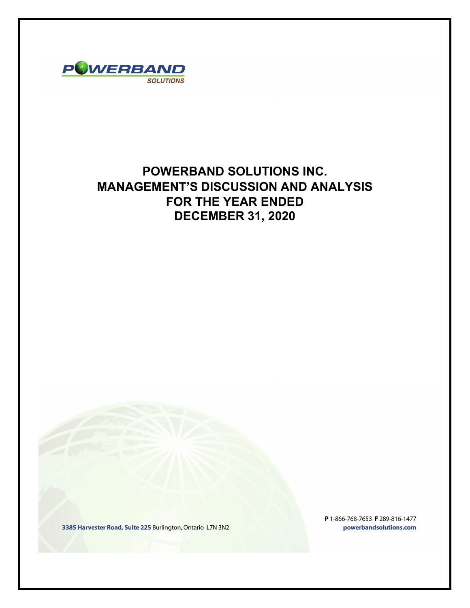

# **POWERBAND SOLUTIONS INC. MANAGEMENT'S DISCUSSION AND ANALYSIS FOR THE YEAR ENDED DECEMBER 31, 2020**

3385 Harvester Road, Suite 225 Burlington, Ontario L7N 3N2

P 1-866-768-7653 F 289-816-1477 powerbandsolutions.com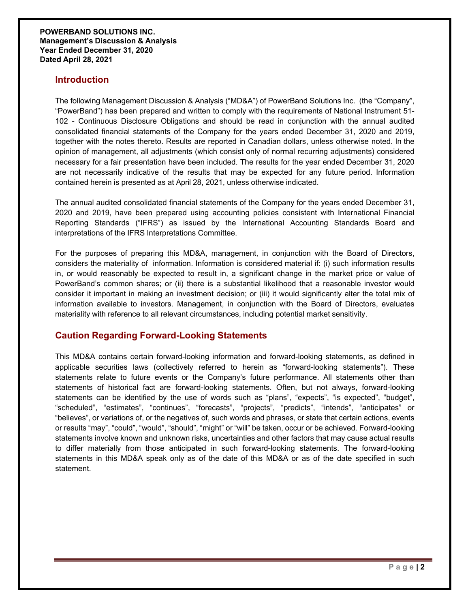### **Introduction**

The following Management Discussion & Analysis ("MD&A") of PowerBand Solutions Inc. (the "Company", "PowerBand") has been prepared and written to comply with the requirements of National Instrument 51- 102 - Continuous Disclosure Obligations and should be read in conjunction with the annual audited consolidated financial statements of the Company for the years ended December 31, 2020 and 2019, together with the notes thereto. Results are reported in Canadian dollars, unless otherwise noted. In the opinion of management, all adjustments (which consist only of normal recurring adjustments) considered necessary for a fair presentation have been included. The results for the year ended December 31, 2020 are not necessarily indicative of the results that may be expected for any future period. Information contained herein is presented as at April 28, 2021, unless otherwise indicated.

The annual audited consolidated financial statements of the Company for the years ended December 31, 2020 and 2019, have been prepared using accounting policies consistent with International Financial Reporting Standards ("IFRS") as issued by the International Accounting Standards Board and interpretations of the IFRS Interpretations Committee.

For the purposes of preparing this MD&A, management, in conjunction with the Board of Directors, considers the materiality of information. Information is considered material if: (i) such information results in, or would reasonably be expected to result in, a significant change in the market price or value of PowerBand's common shares; or (ii) there is a substantial likelihood that a reasonable investor would consider it important in making an investment decision; or (iii) it would significantly alter the total mix of information available to investors. Management, in conjunction with the Board of Directors, evaluates materiality with reference to all relevant circumstances, including potential market sensitivity.

# **Caution Regarding Forward-Looking Statements**

This MD&A contains certain forward-looking information and forward-looking statements, as defined in applicable securities laws (collectively referred to herein as "forward-looking statements"). These statements relate to future events or the Company's future performance. All statements other than statements of historical fact are forward-looking statements. Often, but not always, forward-looking statements can be identified by the use of words such as "plans", "expects", "is expected", "budget", "scheduled", "estimates", "continues", "forecasts", "projects", "predicts", "intends", "anticipates" or "believes", or variations of, or the negatives of, such words and phrases, or state that certain actions, events or results "may", "could", "would", "should", "might" or "will" be taken, occur or be achieved. Forward-looking statements involve known and unknown risks, uncertainties and other factors that may cause actual results to differ materially from those anticipated in such forward-looking statements. The forward-looking statements in this MD&A speak only as of the date of this MD&A or as of the date specified in such statement.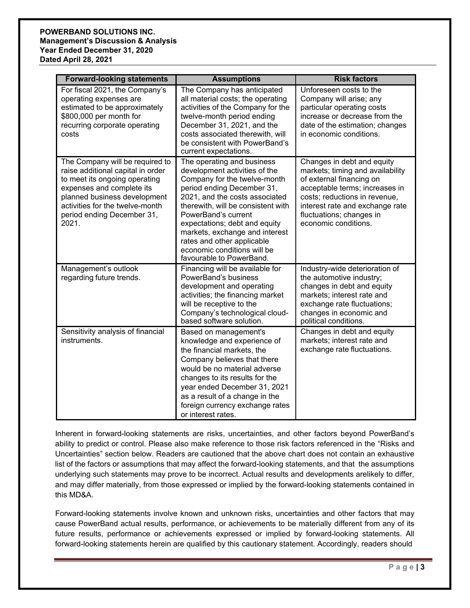### **POWERBAND SOLUTIONS INC. Management's Discussion & Analysis Year Ended December 31, 2020 Dated April 28, 2021**

| <b>Forward-looking statements</b>                                                                                                                                                                                                            | <b>Assumptions</b>                                                                                                                                                                                                                                                                                                                                                                   | <b>Risk factors</b>                                                                                                                                                                                                                                  |
|----------------------------------------------------------------------------------------------------------------------------------------------------------------------------------------------------------------------------------------------|--------------------------------------------------------------------------------------------------------------------------------------------------------------------------------------------------------------------------------------------------------------------------------------------------------------------------------------------------------------------------------------|------------------------------------------------------------------------------------------------------------------------------------------------------------------------------------------------------------------------------------------------------|
| For fiscal 2021, the Company's<br>operating expenses are<br>estimated to be approximately<br>\$800,000 per month for<br>recurring corporate operating<br>costs                                                                               | The Company has anticipated<br>all material costs; the operating<br>activities of the Company for the<br>twelve-month period ending<br>December 31, 2021, and the<br>costs associated therewith, will<br>be consistent with PowerBand's<br>current expectations.                                                                                                                     | Unforeseen costs to the<br>Company will arise; any<br>particular operating costs<br>increase or decrease from the<br>date of the estimation; changes<br>in economic conditions.                                                                      |
| The Company will be required to<br>raise additional capital in order<br>to meet its ongoing operating<br>expenses and complete its<br>planned business development<br>activities for the twelve-month<br>period ending December 31,<br>2021. | The operating and business<br>development activities of the<br>Company for the twelve-month<br>period ending December 31,<br>2021, and the costs associated<br>therewith, will be consistent with<br>PowerBand's current<br>expectations; debt and equity<br>markets, exchange and interest<br>rates and other applicable<br>economic conditions will be<br>favourable to PowerBand. | Changes in debt and equity<br>markets; timing and availability<br>of external financing on<br>acceptable terms; increases in<br>costs; reductions in revenue,<br>interest rate and exchange rate<br>fluctuations; changes in<br>economic conditions. |
| Management's outlook<br>regarding future trends.                                                                                                                                                                                             | Financing will be available for<br>PowerBand's business<br>development and operating<br>activities; the financing market<br>will be receptive to the<br>Company's technological cloud-<br>based software solution.                                                                                                                                                                   | Industry-wide deterioration of<br>the automotive industry;<br>changes in debt and equity<br>markets; interest rate and<br>exchange rate fluctuations;<br>changes in economic and<br>political conditions.                                            |
| Sensitivity analysis of financial<br>instruments.                                                                                                                                                                                            | Based on management's<br>knowledge and experience of<br>the financial markets, the<br>Company believes that there<br>would be no material adverse<br>changes to its results for the<br>year ended December 31, 2021<br>as a result of a change in the<br>foreign currency exchange rates<br>or interest rates.                                                                       | Changes in debt and equity<br>markets; interest rate and<br>exchange rate fluctuations.                                                                                                                                                              |

Inherent in forward-looking statements are risks, uncertainties, and other factors beyond PowerBand's ability to predict or control. Please also make reference to those risk factors referenced in the "Risks and Uncertainties" section below. Readers are cautioned that the above chart does not contain an exhaustive list of the factors or assumptions that may affect the forward-looking statements, and that the assumptions underlying such statements may prove to be incorrect. Actual results and developments arelikely to differ, and may differ materially, from those expressed or implied by the forward-looking statements contained in this MD&A.

Forward-looking statements involve known and unknown risks, uncertainties and other factors that may cause PowerBand actual results, performance, or achievements to be materially different from any of its future results, performance or achievements expressed or implied by forward-looking statements. All forward-looking statements herein are qualified by this cautionary statement. Accordingly, readers should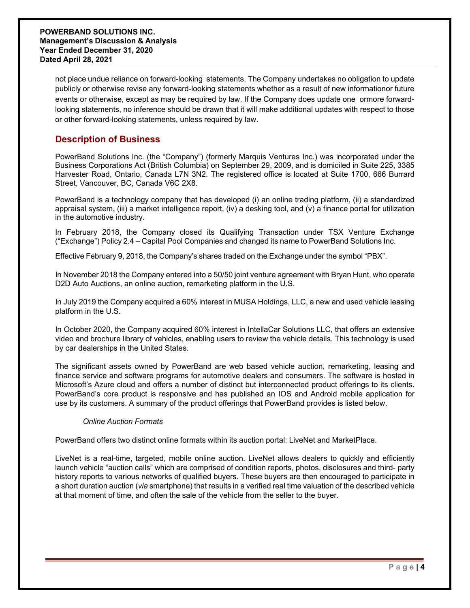not place undue reliance on forward-looking statements. The Company undertakes no obligation to update publicly or otherwise revise any forward-looking statements whether as a result of new informationor future events or otherwise, except as may be required by law. If the Company does update one ormore forwardlooking statements, no inference should be drawn that it will make additional updates with respect to those or other forward-looking statements, unless required by law.

### **Description of Business**

PowerBand Solutions Inc. (the "Company") (formerly Marquis Ventures Inc.) was incorporated under the Business Corporations Act (British Columbia) on September 29, 2009, and is domiciled in Suite 225, 3385 Harvester Road, Ontario, Canada L7N 3N2. The registered office is located at Suite 1700, 666 Burrard Street, Vancouver, BC, Canada V6C 2X8.

PowerBand is a technology company that has developed (i) an online trading platform, (ii) a standardized appraisal system, (iii) a market intelligence report, (iv) a desking tool, and (v) a finance portal for utilization in the automotive industry.

In February 2018, the Company closed its Qualifying Transaction under TSX Venture Exchange ("Exchange") Policy 2.4 – Capital Pool Companies and changed its name to PowerBand Solutions Inc.

Effective February 9, 2018, the Company's shares traded on the Exchange under the symbol "PBX".

In November 2018 the Company entered into a 50/50 joint venture agreement with Bryan Hunt, who operate D2D Auto Auctions, an online auction, remarketing platform in the U.S.

In July 2019 the Company acquired a 60% interest in MUSA Holdings, LLC, a new and used vehicle leasing platform in the U.S.

In October 2020, the Company acquired 60% interest in IntellaCar Solutions LLC, that offers an extensive video and brochure library of vehicles, enabling users to review the vehicle details. This technology is used by car dealerships in the United States.

The significant assets owned by PowerBand are web based vehicle auction, remarketing, leasing and finance service and software programs for automotive dealers and consumers. The software is hosted in Microsoft's Azure cloud and offers a number of distinct but interconnected product offerings to its clients. PowerBand's core product is responsive and has published an IOS and Android mobile application for use by its customers. A summary of the product offerings that PowerBand provides is listed below.

### *Online Auction Formats*

PowerBand offers two distinct online formats within its auction portal: LiveNet and MarketPlace.

LiveNet is a real-time, targeted, mobile online auction. LiveNet allows dealers to quickly and efficiently launch vehicle "auction calls" which are comprised of condition reports, photos, disclosures and third- party history reports to various networks of qualified buyers. These buyers are then encouraged to participate in a short duration auction (*via* smartphone) that results in a verified real time valuation of the described vehicle at that moment of time, and often the sale of the vehicle from the seller to the buyer.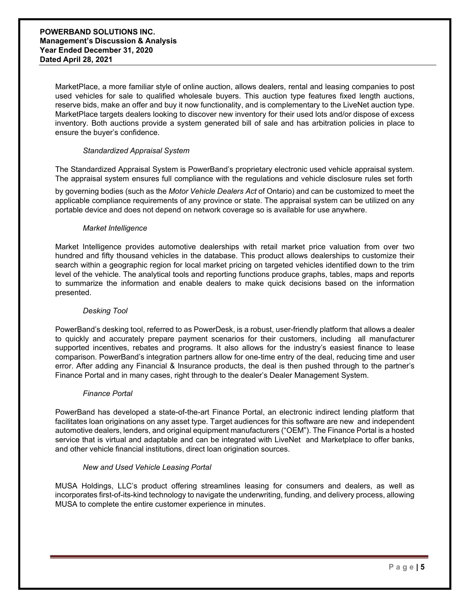MarketPlace, a more familiar style of online auction, allows dealers, rental and leasing companies to post used vehicles for sale to qualified wholesale buyers. This auction type features fixed length auctions, reserve bids, make an offer and buy it now functionality, and is complementary to the LiveNet auction type. MarketPlace targets dealers looking to discover new inventory for their used lots and/or dispose of excess inventory. Both auctions provide a system generated bill of sale and has arbitration policies in place to ensure the buyer's confidence.

### *Standardized Appraisal System*

The Standardized Appraisal System is PowerBand's proprietary electronic used vehicle appraisal system. The appraisal system ensures full compliance with the regulations and vehicle disclosure rules set forth

by governing bodies (such as the *Motor Vehicle Dealers Act* of Ontario) and can be customized to meet the applicable compliance requirements of any province or state. The appraisal system can be utilized on any portable device and does not depend on network coverage so is available for use anywhere.

### *Market Intelligence*

Market Intelligence provides automotive dealerships with retail market price valuation from over two hundred and fifty thousand vehicles in the database. This product allows dealerships to customize their search within a geographic region for local market pricing on targeted vehicles identified down to the trim level of the vehicle. The analytical tools and reporting functions produce graphs, tables, maps and reports to summarize the information and enable dealers to make quick decisions based on the information presented.

### *Desking Tool*

PowerBand's desking tool, referred to as PowerDesk, is a robust, user-friendly platform that allows a dealer to quickly and accurately prepare payment scenarios for their customers, including all manufacturer supported incentives, rebates and programs. It also allows for the industry's easiest finance to lease comparison. PowerBand's integration partners allow for one-time entry of the deal, reducing time and user error. After adding any Financial & Insurance products, the deal is then pushed through to the partner's Finance Portal and in many cases, right through to the dealer's Dealer Management System.

### *Finance Portal*

PowerBand has developed a state-of-the-art Finance Portal, an electronic indirect lending platform that facilitates loan originations on any asset type. Target audiences for this software are new and independent automotive dealers, lenders, and original equipment manufacturers ("OEM"). The Finance Portal is a hosted service that is virtual and adaptable and can be integrated with LiveNet and Marketplace to offer banks, and other vehicle financial institutions, direct loan origination sources.

### *New and Used Vehicle Leasing Portal*

MUSA Holdings, LLC's product offering streamlines leasing for consumers and dealers, as well as incorporates first-of-its-kind technology to navigate the underwriting, funding, and delivery process, allowing MUSA to complete the entire customer experience in minutes.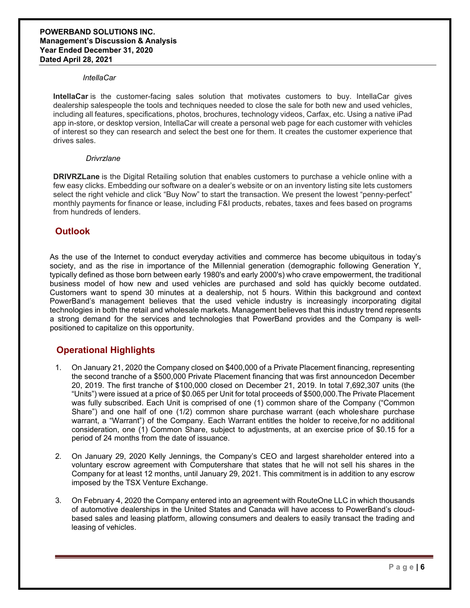#### *IntellaCar*

**IntellaCar** is the customer-facing sales solution that motivates customers to buy. IntellaCar gives dealership salespeople the tools and techniques needed to close the sale for both new and used vehicles, including all features, specifications, photos, brochures, technology videos, Carfax, etc. Using a native iPad app in-store, or desktop version, IntellaCar will create a personal web page for each customer with vehicles of interest so they can research and select the best one for them. It creates the customer experience that drives sales.

#### *Drivrzlane*

**DRIVRZLane** is the Digital Retailing solution that enables customers to purchase a vehicle online with a few easy clicks. Embedding our software on a dealer's website or on an inventory listing site lets customers select the right vehicle and click "Buy Now" to start the transaction. We present the lowest "penny-perfect" monthly payments for finance or lease, including F&I products, rebates, taxes and fees based on programs from hundreds of lenders.

### **Outlook**

As the use of the Internet to conduct everyday activities and commerce has become ubiquitous in today's society, and as the rise in importance of the Millennial generation (demographic following Generation Y, typically defined as those born between early 1980's and early 2000's) who crave empowerment, the traditional business model of how new and used vehicles are purchased and sold has quickly become outdated. Customers want to spend 30 minutes at a dealership, not 5 hours. Within this background and context PowerBand's management believes that the used vehicle industry is increasingly incorporating digital technologies in both the retail and wholesale markets. Management believes that this industry trend represents a strong demand for the services and technologies that PowerBand provides and the Company is wellpositioned to capitalize on this opportunity.

# **Operational Highlights**

- 1. On January 21, 2020 the Company closed on \$400,000 of a Private Placement financing, representing the second tranche of a \$500,000 Private Placement financing that was first announcedon December 20, 2019. The first tranche of \$100,000 closed on December 21, 2019. In total 7,692,307 units (the "Units") were issued at a price of \$0.065 per Unit for total proceeds of \$500,000.The Private Placement was fully subscribed. Each Unit is comprised of one (1) common share of the Company ("Common Share") and one half of one (1/2) common share purchase warrant (each wholeshare purchase warrant, a "Warrant") of the Company. Each Warrant entitles the holder to receive,for no additional consideration, one (1) Common Share, subject to adjustments, at an exercise price of \$0.15 for a period of 24 months from the date of issuance.
- 2. On January 29, 2020 Kelly Jennings, the Company's CEO and largest shareholder entered into a voluntary escrow agreement with Computershare that states that he will not sell his shares in the Company for at least 12 months, until January 29, 2021. This commitment is in addition to any escrow imposed by the TSX Venture Exchange.
- 3. On February 4, 2020 the Company entered into an agreement with RouteOne LLC in which thousands of automotive dealerships in the United States and Canada will have access to PowerBand's cloudbased sales and leasing platform, allowing consumers and dealers to easily transact the trading and leasing of vehicles.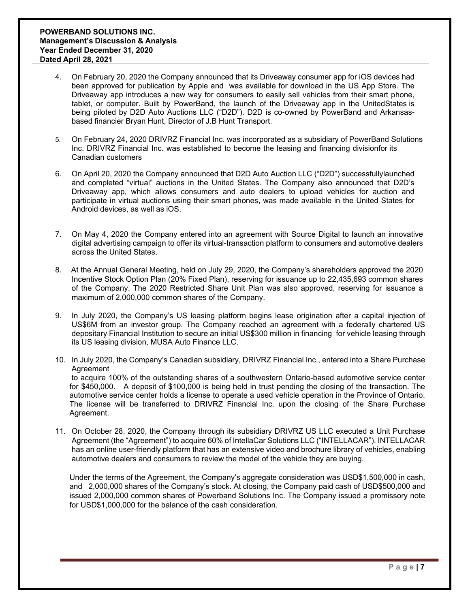- 4. On February 20, 2020 the Company announced that its Driveaway consumer app for iOS devices had been approved for publication by Apple and was available for download in the US App Store. The Driveaway app introduces a new way for consumers to easily sell vehicles from their smart phone, tablet, or computer. Built by PowerBand, the launch of the Driveaway app in the UnitedStates is being piloted by D2D Auto Auctions LLC ("D2D"). D2D is co-owned by PowerBand and Arkansasbased financier Bryan Hunt, Director of J.B Hunt Transport.
- 5. On February 24, 2020 DRIVRZ Financial Inc. was incorporated as a subsidiary of PowerBand Solutions Inc. DRIVRZ Financial Inc. was established to become the leasing and financing divisionfor its Canadian customers
- 6. On April 20, 2020 the Company announced that D2D Auto Auction LLC ("D2D") successfullylaunched and completed "virtual" auctions in the United States. The Company also announced that D2D's Driveaway app, which allows consumers and auto dealers to upload vehicles for auction and participate in virtual auctions using their smart phones, was made available in the United States for Android devices, as well as iOS.
- 7. On May 4, 2020 the Company entered into an agreement with Source Digital to launch an innovative digital advertising campaign to offer its virtual-transaction platform to consumers and automotive dealers across the United States.
- 8. At the Annual General Meeting, held on July 29, 2020, the Company's shareholders approved the 2020 Incentive Stock Option Plan (20% Fixed Plan), reserving for issuance up to 22,435,693 common shares of the Company. The 2020 Restricted Share Unit Plan was also approved, reserving for issuance a maximum of 2,000,000 common shares of the Company.
- 9. In July 2020, the Company's US leasing platform begins lease origination after a capital injection of US\$6M from an investor group. The Company reached an agreement with a federally chartered US depositary Financial Institution to secure an initial US\$300 million in financing for vehicle leasing through its US leasing division, MUSA Auto Finance LLC.
- 10. In July 2020, the Company's Canadian subsidiary, DRIVRZ Financial Inc., entered into a Share Purchase **Agreement** to acquire 100% of the outstanding shares of a southwestern Ontario-based automotive service center for \$450,000. A deposit of \$100,000 is being held in trust pending the closing of the transaction. The automotive service center holds a license to operate a used vehicle operation in the Province of Ontario. The license will be transferred to DRIVRZ Financial Inc. upon the closing of the Share Purchase Agreement.
- 11. On October 28, 2020, the Company through its subsidiary DRIVRZ US LLC executed a Unit Purchase Agreement (the "Agreement") to acquire 60% of IntellaCar Solutions LLC ("INTELLACAR"). INTELLACAR has an online user-friendly platform that has an extensive video and brochure library of vehicles, enabling automotive dealers and consumers to review the model of the vehicle they are buying.

Under the terms of the Agreement, the Company's aggregate consideration was USD\$1,500,000 in cash, and 2,000,000 shares of the Company's stock. At closing, the Company paid cash of USD\$500,000 and issued 2,000,000 common shares of Powerband Solutions Inc. The Company issued a promissory note for USD\$1,000,000 for the balance of the cash consideration.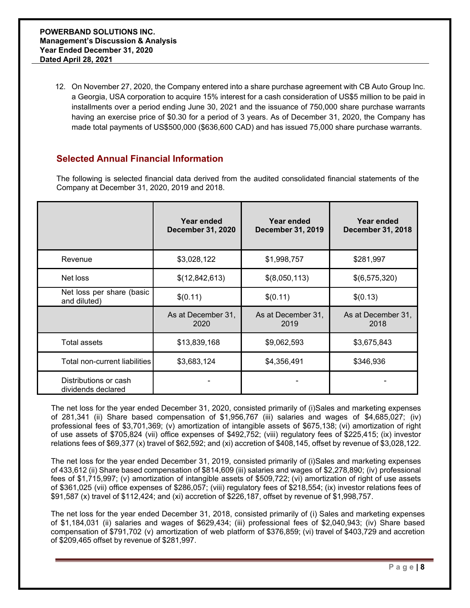12. On November 27, 2020, the Company entered into a share purchase agreement with CB Auto Group Inc. a Georgia, USA corporation to acquire 15% interest for a cash consideration of US\$5 million to be paid in installments over a period ending June 30, 2021 and the issuance of 750,000 share purchase warrants having an exercise price of \$0.30 for a period of 3 years. As of December 31, 2020, the Company has made total payments of US\$500,000 (\$636,600 CAD) and has issued 75,000 share purchase warrants.

# **Selected Annual Financial Information**

The following is selected financial data derived from the audited consolidated financial statements of the Company at December 31, 2020, 2019 and 2018.

|                                             | Year ended<br><b>December 31, 2020</b> | Year ended<br><b>December 31, 2019</b> | Year ended<br><b>December 31, 2018</b> |
|---------------------------------------------|----------------------------------------|----------------------------------------|----------------------------------------|
| Revenue                                     | \$3,028,122                            | \$1,998,757                            | \$281,997                              |
| Net loss                                    | \$(12,842,613)                         | \$(8,050,113)                          | \$(6,575,320)                          |
| Net loss per share (basic<br>and diluted)   | \$(0.11)                               | \$(0.11)                               | \$(0.13)                               |
|                                             | As at December 31,<br>2020             | As at December 31,<br>2019             | As at December 31,<br>2018             |
| <b>Total assets</b>                         | \$13,839,168                           | \$9,062,593                            | \$3,675,843                            |
| Total non-current liabilities               | \$3,683,124                            | \$4,356,491                            | \$346,936                              |
| Distributions or cash<br>dividends declared |                                        |                                        |                                        |

The net loss for the year ended December 31, 2020, consisted primarily of (i)Sales and marketing expenses of 281,341 (ii) Share based compensation of \$1,956,767 (iii) salaries and wages of \$4,685,027; (iv) professional fees of \$3,701,369; (v) amortization of intangible assets of \$675,138; (vi) amortization of right of use assets of \$705,824 (vii) office expenses of \$492,752; (viii) regulatory fees of \$225,415; (ix) investor relations fees of \$69,377 (x) travel of \$62,592; and (xi) accretion of \$408,145, offset by revenue of \$3,028,122.

The net loss for the year ended December 31, 2019, consisted primarily of (i)Sales and marketing expenses of 433,612 (ii) Share based compensation of \$814,609 (iii) salaries and wages of \$2,278,890; (iv) professional fees of \$1,715,997; (v) amortization of intangible assets of \$509,722; (vi) amortization of right of use assets of \$361,025 (vii) office expenses of \$286,057; (viii) regulatory fees of \$218,554; (ix) investor relations fees of \$91,587 (x) travel of \$112,424; and (xi) accretion of \$226,187, offset by revenue of \$1,998,757.

The net loss for the year ended December 31, 2018, consisted primarily of (i) Sales and marketing expenses of \$1,184,031 (ii) salaries and wages of \$629,434; (iii) professional fees of \$2,040,943; (iv) Share based compensation of \$791,702 (v) amortization of web platform of \$376,859; (vi) travel of \$403,729 and accretion of \$209,465 offset by revenue of \$281,997.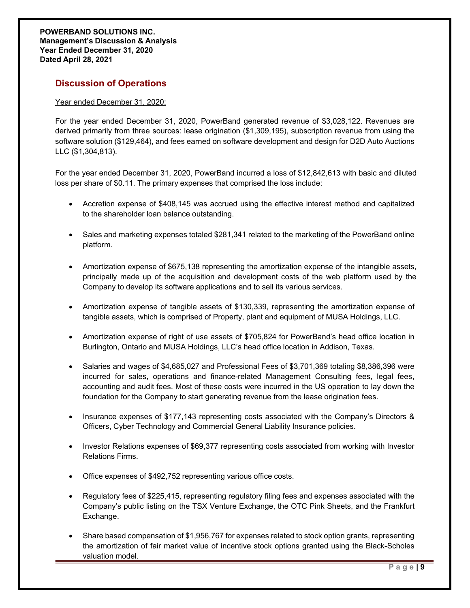# **Discussion of Operations**

### Year ended December 31, 2020:

For the year ended December 31, 2020, PowerBand generated revenue of \$3,028,122. Revenues are derived primarily from three sources: lease origination (\$1,309,195), subscription revenue from using the software solution (\$129,464), and fees earned on software development and design for D2D Auto Auctions LLC (\$1,304,813).

For the year ended December 31, 2020, PowerBand incurred a loss of \$12,842,613 with basic and diluted loss per share of \$0.11. The primary expenses that comprised the loss include:

- Accretion expense of \$408,145 was accrued using the effective interest method and capitalized to the shareholder loan balance outstanding.
- Sales and marketing expenses totaled \$281,341 related to the marketing of the PowerBand online platform.
- Amortization expense of \$675,138 representing the amortization expense of the intangible assets, principally made up of the acquisition and development costs of the web platform used by the Company to develop its software applications and to sell its various services.
- Amortization expense of tangible assets of \$130,339, representing the amortization expense of tangible assets, which is comprised of Property, plant and equipment of MUSA Holdings, LLC.
- Amortization expense of right of use assets of \$705,824 for PowerBand's head office location in Burlington, Ontario and MUSA Holdings, LLC's head office location in Addison, Texas.
- Salaries and wages of \$4,685,027 and Professional Fees of \$3,701,369 totaling \$8,386,396 were incurred for sales, operations and finance-related Management Consulting fees, legal fees, accounting and audit fees. Most of these costs were incurred in the US operation to lay down the foundation for the Company to start generating revenue from the lease origination fees.
- Insurance expenses of \$177,143 representing costs associated with the Company's Directors & Officers, Cyber Technology and Commercial General Liability Insurance policies.
- Investor Relations expenses of \$69,377 representing costs associated from working with Investor Relations Firms.
- Office expenses of \$492,752 representing various office costs.
- Regulatory fees of \$225,415, representing regulatory filing fees and expenses associated with the Company's public listing on the TSX Venture Exchange, the OTC Pink Sheets, and the Frankfurt Exchange.
- Share based compensation of \$1,956,767 for expenses related to stock option grants, representing the amortization of fair market value of incentive stock options granted using the Black-Scholes valuation model.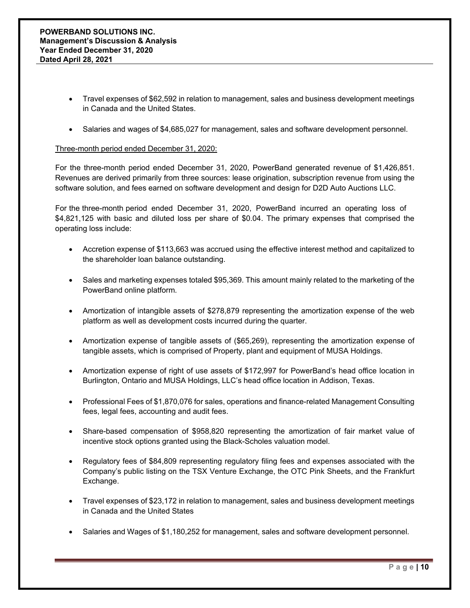- Travel expenses of \$62,592 in relation to management, sales and business development meetings in Canada and the United States.
- Salaries and wages of \$4,685,027 for management, sales and software development personnel.

### Three-month period ended December 31, 2020:

For the three-month period ended December 31, 2020, PowerBand generated revenue of \$1,426,851. Revenues are derived primarily from three sources: lease origination, subscription revenue from using the software solution, and fees earned on software development and design for D2D Auto Auctions LLC.

For the three-month period ended December 31, 2020, PowerBand incurred an operating loss of \$4,821,125 with basic and diluted loss per share of \$0.04. The primary expenses that comprised the operating loss include:

- Accretion expense of \$113,663 was accrued using the effective interest method and capitalized to the shareholder loan balance outstanding.
- Sales and marketing expenses totaled \$95,369. This amount mainly related to the marketing of the PowerBand online platform.
- Amortization of intangible assets of \$278,879 representing the amortization expense of the web platform as well as development costs incurred during the quarter.
- Amortization expense of tangible assets of (\$65,269), representing the amortization expense of tangible assets, which is comprised of Property, plant and equipment of MUSA Holdings.
- Amortization expense of right of use assets of \$172,997 for PowerBand's head office location in Burlington, Ontario and MUSA Holdings, LLC's head office location in Addison, Texas.
- Professional Fees of \$1,870,076 for sales, operations and finance-related Management Consulting fees, legal fees, accounting and audit fees.
- Share-based compensation of \$958,820 representing the amortization of fair market value of incentive stock options granted using the Black-Scholes valuation model.
- Regulatory fees of \$84,809 representing regulatory filing fees and expenses associated with the Company's public listing on the TSX Venture Exchange, the OTC Pink Sheets, and the Frankfurt Exchange.
- Travel expenses of \$23,172 in relation to management, sales and business development meetings in Canada and the United States
- Salaries and Wages of \$1,180,252 for management, sales and software development personnel.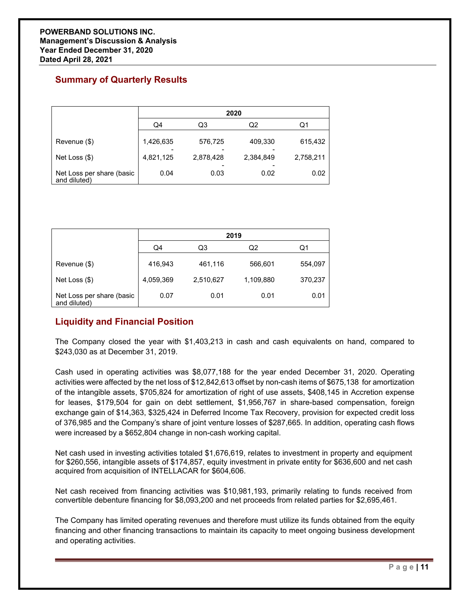# **Summary of Quarterly Results**

|                                           | 2020      |           |           |           |
|-------------------------------------------|-----------|-----------|-----------|-----------|
|                                           | Q4        | Q3        | Q2        | Q1        |
| Revenue (\$)                              | 1,426,635 | 576,725   | 409,330   | 615,432   |
| Net Loss (\$)                             | 4,821,125 | 2,878,428 | 2,384,849 | 2,758,211 |
| Net Loss per share (basic<br>and diluted) | 0.04      | 0.03      | 0.02      | 0.02      |

|                                           | 2019                 |                      |                      |                    |
|-------------------------------------------|----------------------|----------------------|----------------------|--------------------|
|                                           | Q4                   | Q3                   | Q2                   | Q1                 |
| Revenue (\$)<br>Net Loss $(\$)$           | 416,943<br>4,059,369 | 461,116<br>2,510,627 | 566,601<br>1,109,880 | 554,097<br>370,237 |
| Net Loss per share (basic<br>and diluted) | 0.07                 | 0.01                 | 0.01                 | 0.01               |

# **Liquidity and Financial Position**

The Company closed the year with \$1,403,213 in cash and cash equivalents on hand, compared to \$243,030 as at December 31, 2019.

Cash used in operating activities was \$8,077,188 for the year ended December 31, 2020. Operating activities were affected by the net loss of \$12,842,613 offset by non-cash items of \$675,138 for amortization of the intangible assets, \$705,824 for amortization of right of use assets, \$408,145 in Accretion expense for leases, \$179,504 for gain on debt settlement, \$1,956,767 in share-based compensation, foreign exchange gain of \$14,363, \$325,424 in Deferred Income Tax Recovery, provision for expected credit loss of 376,985 and the Company's share of joint venture losses of \$287,665. In addition, operating cash flows were increased by a \$652,804 change in non-cash working capital.

Net cash used in investing activities totaled \$1,676,619, relates to investment in property and equipment for \$260,556, intangible assets of \$174,857, equity investment in private entity for \$636,600 and net cash acquired from acquisition of INTELLACAR for \$604,606.

Net cash received from financing activities was \$10,981,193, primarily relating to funds received from convertible debenture financing for \$8,093,200 and net proceeds from related parties for \$2,695,461.

The Company has limited operating revenues and therefore must utilize its funds obtained from the equity financing and other financing transactions to maintain its capacity to meet ongoing business development and operating activities.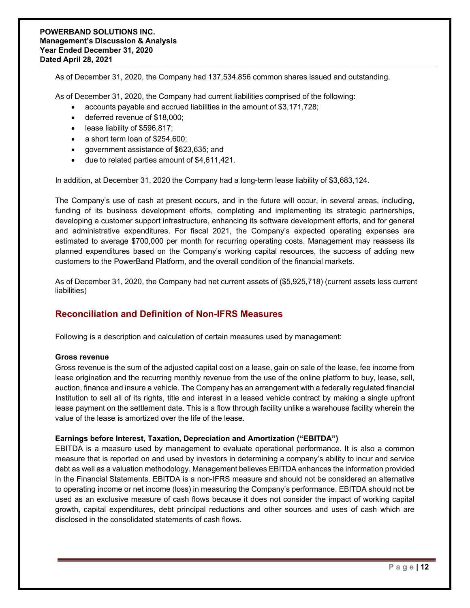As of December 31, 2020, the Company had 137,534,856 common shares issued and outstanding.

As of December 31, 2020, the Company had current liabilities comprised of the following:

- accounts payable and accrued liabilities in the amount of \$3,171,728;
- deferred revenue of \$18,000;
- lease liability of \$596,817;
- a short term loan of \$254,600;
- government assistance of \$623,635; and
- due to related parties amount of \$4,611,421.

In addition, at December 31, 2020 the Company had a long-term lease liability of \$3,683,124.

The Company's use of cash at present occurs, and in the future will occur, in several areas, including, funding of its business development efforts, completing and implementing its strategic partnerships, developing a customer support infrastructure, enhancing its software development efforts, and for general and administrative expenditures. For fiscal 2021, the Company's expected operating expenses are estimated to average \$700,000 per month for recurring operating costs. Management may reassess its planned expenditures based on the Company's working capital resources, the success of adding new customers to the PowerBand Platform, and the overall condition of the financial markets.

As of December 31, 2020, the Company had net current assets of (\$5,925,718) (current assets less current liabilities)

### **Reconciliation and Definition of Non-IFRS Measures**

Following is a description and calculation of certain measures used by management:

### **Gross revenue**

Gross revenue is the sum of the adjusted capital cost on a lease, gain on sale of the lease, fee income from lease origination and the recurring monthly revenue from the use of the online platform to buy, lease, sell, auction, finance and insure a vehicle. The Company has an arrangement with a federally regulated financial Institution to sell all of its rights, title and interest in a leased vehicle contract by making a single upfront lease payment on the settlement date. This is a flow through facility unlike a warehouse facility wherein the value of the lease is amortized over the life of the lease.

### **Earnings before Interest, Taxation, Depreciation and Amortization ("EBITDA")**

EBITDA is a measure used by management to evaluate operational performance. It is also a common measure that is reported on and used by investors in determining a company's ability to incur and service debt as well as a valuation methodology. Management believes EBITDA enhances the information provided in the Financial Statements. EBITDA is a non-IFRS measure and should not be considered an alternative to operating income or net income (loss) in measuring the Company's performance. EBITDA should not be used as an exclusive measure of cash flows because it does not consider the impact of working capital growth, capital expenditures, debt principal reductions and other sources and uses of cash which are disclosed in the consolidated statements of cash flows.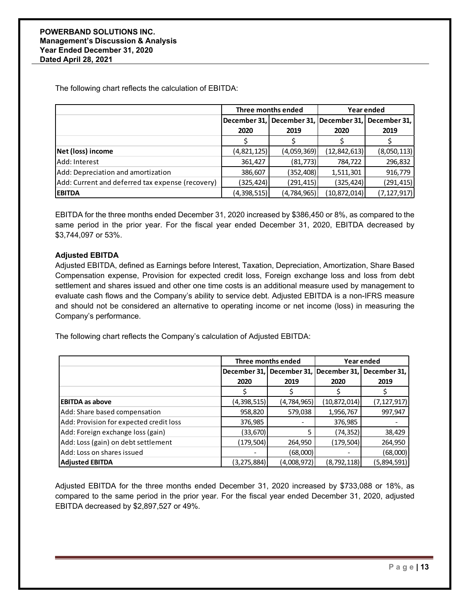The following chart reflects the calculation of EBITDA:

|                                                  | Three months ended                                  |               | Year ended     |               |
|--------------------------------------------------|-----------------------------------------------------|---------------|----------------|---------------|
|                                                  | December 31, December 31, December 31, December 31, |               |                |               |
|                                                  | 2020                                                | 2019          | 2020           | 2019          |
|                                                  |                                                     |               |                |               |
| Net (loss) income                                | (4,821,125)                                         | (4,059,369)   | (12, 842, 613) | (8,050,113)   |
| Add: Interest                                    | 361,427                                             | (81, 773)     | 784,722        | 296,832       |
| Add: Depreciation and amortization               | 386,607                                             | (352, 408)    | 1,511,301      | 916,779       |
| Add: Current and deferred tax expense (recovery) | (325,424)                                           | (291, 415)    | (325,424)      | (291, 415)    |
| <b>EBITDA</b>                                    | (4,398,515)                                         | (4, 784, 965) | (10, 872, 014) | (7, 127, 917) |

EBITDA for the three months ended December 31, 2020 increased by \$386,450 or 8%, as compared to the same period in the prior year. For the fiscal year ended December 31, 2020, EBITDA decreased by \$3,744,097 or 53%.

### **Adjusted EBITDA**

Adjusted EBITDA, defined as Earnings before Interest, Taxation, Depreciation, Amortization, Share Based Compensation expense, Provision for expected credit loss, Foreign exchange loss and loss from debt settlement and shares issued and other one time costs is an additional measure used by management to evaluate cash flows and the Company's ability to service debt. Adjusted EBITDA is a non-IFRS measure and should not be considered an alternative to operating income or net income (loss) in measuring the Company's performance.

The following chart reflects the Company's calculation of Adjusted EBITDA:

|                                         | Three months ended |                                        | Year ended    |               |
|-----------------------------------------|--------------------|----------------------------------------|---------------|---------------|
|                                         |                    | December 31, December 31, December 31, |               | December 31,  |
|                                         | 2020               | 2019                                   | 2020          | 2019          |
|                                         |                    |                                        |               |               |
| <b>EBITDA as above</b>                  | (4,398,515)        | (4,784,965)                            | (10,872,014)  | (7, 127, 917) |
| Add: Share based compensation           | 958,820            | 579,038                                | 1,956,767     | 997,947       |
| Add: Provision for expected credit loss | 376,985            |                                        | 376,985       |               |
| Add: Foreign exchange loss (gain)       | (33,670)           |                                        | (74,352)      | 38,429        |
| Add: Loss (gain) on debt settlement     | (179, 504)         | 264,950                                | (179,504)     | 264,950       |
| Add: Loss on shares issued              |                    | (68,000)                               |               | (68,000)      |
| <b>Adjusted EBITDA</b>                  | (3, 275, 884)      | (4,008,972)                            | (8, 792, 118) | (5,894,591)   |

Adjusted EBITDA for the three months ended December 31, 2020 increased by \$733,088 or 18%, as compared to the same period in the prior year. For the fiscal year ended December 31, 2020, adjusted EBITDA decreased by \$2,897,527 or 49%.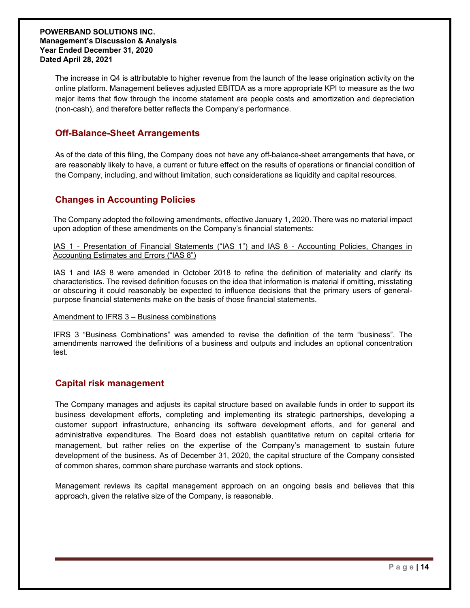The increase in Q4 is attributable to higher revenue from the launch of the lease origination activity on the online platform. Management believes adjusted EBITDA as a more appropriate KPI to measure as the two major items that flow through the income statement are people costs and amortization and depreciation (non-cash), and therefore better reflects the Company's performance.

### **Off-Balance-Sheet Arrangements**

As of the date of this filing, the Company does not have any off-balance-sheet arrangements that have, or are reasonably likely to have, a current or future effect on the results of operations or financial condition of the Company, including, and without limitation, such considerations as liquidity and capital resources.

# **Changes in Accounting Policies**

The Company adopted the following amendments, effective January 1, 2020. There was no material impact upon adoption of these amendments on the Company's financial statements:

IAS 1 - Presentation of Financial Statements ("IAS 1") and IAS 8 - Accounting Policies, Changes in Accounting Estimates and Errors ("IAS 8")

IAS 1 and IAS 8 were amended in October 2018 to refine the definition of materiality and clarify its characteristics. The revised definition focuses on the idea that information is material if omitting, misstating or obscuring it could reasonably be expected to influence decisions that the primary users of generalpurpose financial statements make on the basis of those financial statements.

### Amendment to IFRS 3 – Business combinations

IFRS 3 "Business Combinations" was amended to revise the definition of the term "business". The amendments narrowed the definitions of a business and outputs and includes an optional concentration test.

# **Capital risk management**

The Company manages and adjusts its capital structure based on available funds in order to support its business development efforts, completing and implementing its strategic partnerships, developing a customer support infrastructure, enhancing its software development efforts, and for general and administrative expenditures. The Board does not establish quantitative return on capital criteria for management, but rather relies on the expertise of the Company's management to sustain future development of the business. As of December 31, 2020, the capital structure of the Company consisted of common shares, common share purchase warrants and stock options.

Management reviews its capital management approach on an ongoing basis and believes that this approach, given the relative size of the Company, is reasonable.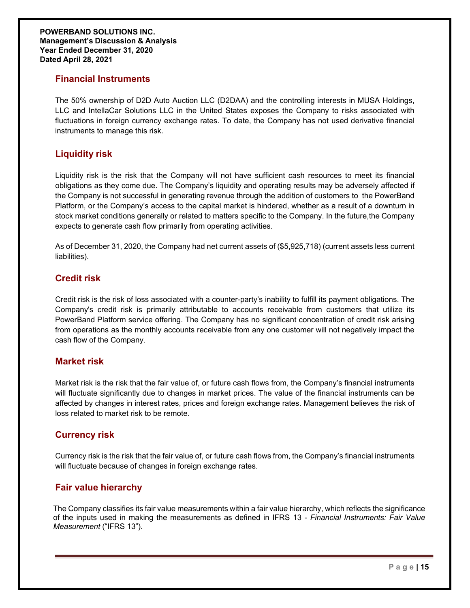### **Financial Instruments**

The 50% ownership of D2D Auto Auction LLC (D2DAA) and the controlling interests in MUSA Holdings, LLC and IntellaCar Solutions LLC in the United States exposes the Company to risks associated with fluctuations in foreign currency exchange rates. To date, the Company has not used derivative financial instruments to manage this risk.

# **Liquidity risk**

Liquidity risk is the risk that the Company will not have sufficient cash resources to meet its financial obligations as they come due. The Company's liquidity and operating results may be adversely affected if the Company is not successful in generating revenue through the addition of customers to the PowerBand Platform, or the Company's access to the capital market is hindered, whether as a result of a downturn in stock market conditions generally or related to matters specific to the Company. In the future,the Company expects to generate cash flow primarily from operating activities.

As of December 31, 2020, the Company had net current assets of (\$5,925,718) (current assets less current liabilities).

# **Credit risk**

Credit risk is the risk of loss associated with a counter-party's inability to fulfill its payment obligations. The Company's credit risk is primarily attributable to accounts receivable from customers that utilize its PowerBand Platform service offering. The Company has no significant concentration of credit risk arising from operations as the monthly accounts receivable from any one customer will not negatively impact the cash flow of the Company.

### **Market risk**

Market risk is the risk that the fair value of, or future cash flows from, the Company's financial instruments will fluctuate significantly due to changes in market prices. The value of the financial instruments can be affected by changes in interest rates, prices and foreign exchange rates. Management believes the risk of loss related to market risk to be remote.

### **Currency risk**

Currency risk is the risk that the fair value of, or future cash flows from, the Company's financial instruments will fluctuate because of changes in foreign exchange rates.

# **Fair value hierarchy**

The Company classifies its fair value measurements within a fair value hierarchy, which reflects the significance of the inputs used in making the measurements as defined in IFRS 13 - *Financial Instruments: Fair Value Measurement* ("IFRS 13").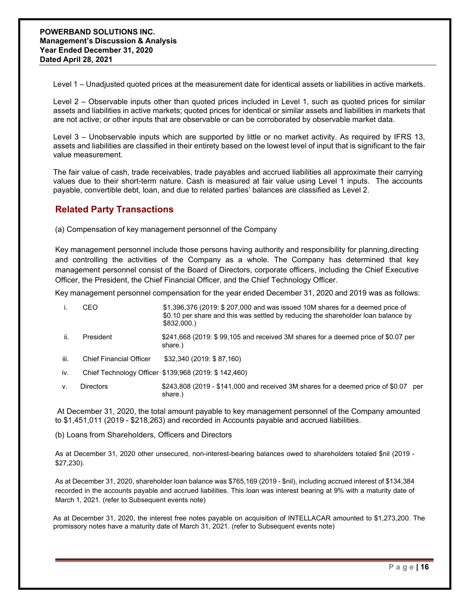Level 1 – Unadjusted quoted prices at the measurement date for identical assets or liabilities in active markets.

Level 2 – Observable inputs other than quoted prices included in Level 1, such as quoted prices for similar assets and liabilities in active markets; quoted prices for identical or similar assets and liabilities in markets that are not active; or other inputs that are observable or can be corroborated by observable market data.

Level 3 – Unobservable inputs which are supported by little or no market activity. As required by IFRS 13, assets and liabilities are classified in their entirety based on the lowest level of input that is significant to the fair value measurement.

The fair value of cash, trade receivables, trade payables and accrued liabilities all approximate their carrying values due to their short-term nature. Cash is measured at fair value using Level 1 inputs. The accounts payable, convertible debt, loan, and due to related parties' balances are classified as Level 2.

# **Related Party Transactions**

(a) Compensation of key management personnel of the Company

Key management personnel include those persons having authority and responsibility for planning,directing and controlling the activities of the Company as a whole. The Company has determined that key management personnel consist of the Board of Directors, corporate officers, including the Chief Executive Officer, the President, the Chief Financial Officer, and the Chief Technology Officer.

Key management personnel compensation for the year ended December 31, 2020 and 2019 was as follows:

|      | CEO                            | \$1,396,376 (2019: \$ 207,000 and was issued 10M shares for a deemed price of<br>\$0.10 per share and this was settled by reducing the shareholder loan balance by<br>\$832,000.) |
|------|--------------------------------|-----------------------------------------------------------------------------------------------------------------------------------------------------------------------------------|
| ii.  | President                      | \$241,668 (2019: \$99,105 and received 3M shares for a deemed price of \$0.07 per<br>share.)                                                                                      |
| jii. | <b>Chief Financial Officer</b> | \$32,340 (2019: \$87,160)                                                                                                                                                         |
| iv.  |                                | Chief Technology Officer \$139,968 (2019: \$142,460)                                                                                                                              |

v. Directors \$243,808 (2019 - \$141,000 and received 3M shares for a deemed price of \$0.07 per share.)

At December 31, 2020, the total amount payable to key management personnel of the Company amounted to \$1,451,011 (2019 - \$218,263) and recorded in Accounts payable and accrued liabilities.

(b) Loans from Shareholders, Officers and Directors

As at December 31, 2020 other unsecured, non-interest-bearing balances owed to shareholders totaled \$nil (2019 - \$27,230).

As at December 31, 2020, shareholder loan balance was \$765,169 (2019 - \$nil), including accrued interest of \$134,384 recorded in the accounts payable and accrued liabilities. This loan was interest bearing at 9% with a maturity date of March 1, 2021. (refer to Subsequent events note)

As at December 31, 2020, the interest free notes payable on acquisition of INTELLACAR amounted to \$1,273,200. The promissory notes have a maturity date of March 31, 2021. (refer to Subsequent events note)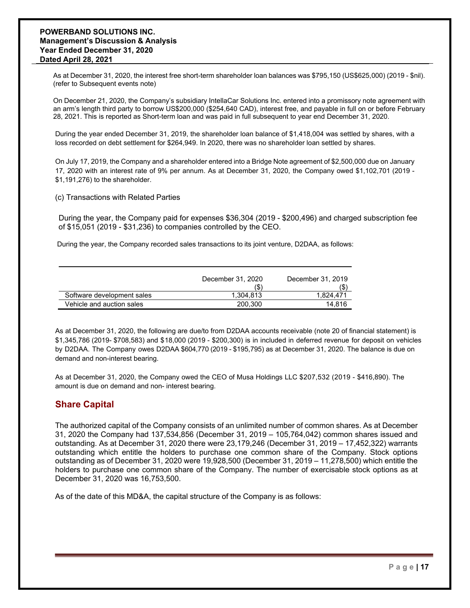### **POWERBAND SOLUTIONS INC. Management's Discussion & Analysis Year Ended December 31, 2020 Dated April 28, 2021**

As at December 31, 2020, the interest free short-term shareholder loan balances was \$795,150 (US\$625,000) (2019 - \$nil). (refer to Subsequent events note)

On December 21, 2020, the Company's subsidiary IntellaCar Solutions Inc. entered into a promissory note agreement with an arm's length third party to borrow US\$200,000 (\$254,640 CAD), interest free, and payable in full on or before February 28, 2021. This is reported as Short-term loan and was paid in full subsequent to year end December 31, 2020.

During the year ended December 31, 2019, the shareholder loan balance of \$1,418,004 was settled by shares, with a loss recorded on debt settlement for \$264,949. In 2020, there was no shareholder loan settled by shares.

On July 17, 2019, the Company and a shareholder entered into a Bridge Note agreement of \$2,500,000 due on January 17, 2020 with an interest rate of 9% per annum. As at December 31, 2020, the Company owed \$1,102,701 (2019 - \$1,191,276) to the shareholder.

(c) Transactions with Related Parties

During the year, the Company paid for expenses \$36,304 (2019 - \$200,496) and charged subscription fee of \$15,051 (2019 - \$31,236) to companies controlled by the CEO.

During the year, the Company recorded sales transactions to its joint venture, D2DAA, as follows:

|                            | December 31, 2020<br>(\$ | December 31, 2019<br>(\$ |
|----------------------------|--------------------------|--------------------------|
| Software development sales | 1.304.813                | 1.824.471                |
| Vehicle and auction sales  | 200.300                  | 14.816                   |

As at December 31, 2020, the following are due/to from D2DAA accounts receivable (note 20 of financial statement) is \$1,345,786 (2019- \$708,583) and \$18,000 (2019 - \$200,300) is in included in deferred revenue for deposit on vehicles by D2DAA. The Company owes D2DAA \$604,770 (2019 - \$195,795) as at December 31, 2020. The balance is due on demand and non-interest bearing.

As at December 31, 2020, the Company owed the CEO of Musa Holdings LLC \$207,532 (2019 - \$416,890). The amount is due on demand and non- interest bearing.

# **Share Capital**

The authorized capital of the Company consists of an unlimited number of common shares. As at December 31, 2020 the Company had 137,534,856 (December 31, 2019 – 105,764,042) common shares issued and outstanding. As at December 31, 2020 there were 23,179,246 (December 31, 2019 – 17,452,322) warrants outstanding which entitle the holders to purchase one common share of the Company. Stock options outstanding as of December 31, 2020 were 19,928,500 (December 31, 2019 – 11,278,500) which entitle the holders to purchase one common share of the Company. The number of exercisable stock options as at December 31, 2020 was 16,753,500.

As of the date of this MD&A, the capital structure of the Company is as follows: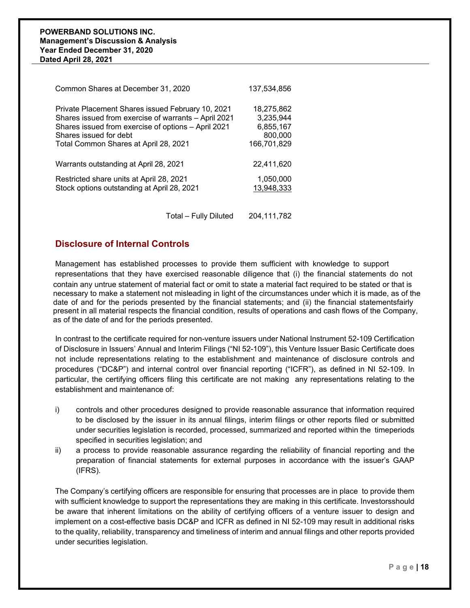| Common Shares at December 31, 2020                   | 137,534,856 |
|------------------------------------------------------|-------------|
| Private Placement Shares issued February 10, 2021    | 18,275,862  |
| Shares issued from exercise of warrants - April 2021 | 3,235,944   |
| Shares issued from exercise of options - April 2021  | 6,855,167   |
| Shares issued for debt                               | 800,000     |
| Total Common Shares at April 28, 2021                | 166,701,829 |
| Warrants outstanding at April 28, 2021               | 22,411,620  |
| Restricted share units at April 28, 2021             | 1,050,000   |
| Stock options outstanding at April 28, 2021          | 13,948,333  |

Total – Fully Diluted 204,111,782

### **Disclosure of Internal Controls**

Management has established processes to provide them sufficient with knowledge to support representations that they have exercised reasonable diligence that (i) the financial statements do not contain any untrue statement of material fact or omit to state a material fact required to be stated or that is necessary to make a statement not misleading in light of the circumstances under which it is made, as of the date of and for the periods presented by the financial statements; and (ii) the financial statementsfairly present in all material respects the financial condition, results of operations and cash flows of the Company, as of the date of and for the periods presented.

In contrast to the certificate required for non-venture issuers under National Instrument 52-109 Certification of Disclosure in Issuers' Annual and Interim Filings ("NI 52-109"), this Venture Issuer Basic Certificate does not include representations relating to the establishment and maintenance of disclosure controls and procedures ("DC&P") and internal control over financial reporting ("ICFR"), as defined in NI 52-109. In particular, the certifying officers filing this certificate are not making any representations relating to the establishment and maintenance of:

- i) controls and other procedures designed to provide reasonable assurance that information required to be disclosed by the issuer in its annual filings, interim filings or other reports filed or submitted under securities legislation is recorded, processed, summarized and reported within the timeperiods specified in securities legislation; and
- ii) a process to provide reasonable assurance regarding the reliability of financial reporting and the preparation of financial statements for external purposes in accordance with the issuer's GAAP (IFRS).

The Company's certifying officers are responsible for ensuring that processes are in place to provide them with sufficient knowledge to support the representations they are making in this certificate. Investorsshould be aware that inherent limitations on the ability of certifying officers of a venture issuer to design and implement on a cost-effective basis DC&P and ICFR as defined in NI 52-109 may result in additional risks to the quality, reliability, transparency and timeliness of interim and annual filings and other reports provided under securities legislation.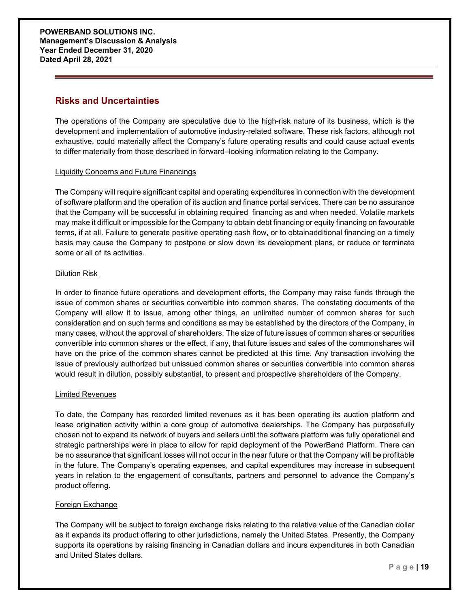### **Risks and Uncertainties**

The operations of the Company are speculative due to the high-risk nature of its business, which is the development and implementation of automotive industry-related software. These risk factors, although not exhaustive, could materially affect the Company's future operating results and could cause actual events to differ materially from those described in forward–looking information relating to the Company.

### Liquidity Concerns and Future Financings

The Company will require significant capital and operating expenditures in connection with the development of software platform and the operation of its auction and finance portal services. There can be no assurance that the Company will be successful in obtaining required financing as and when needed. Volatile markets may make it difficult or impossible for the Company to obtain debt financing or equity financing on favourable terms, if at all. Failure to generate positive operating cash flow, or to obtainadditional financing on a timely basis may cause the Company to postpone or slow down its development plans, or reduce or terminate some or all of its activities.

### Dilution Risk

In order to finance future operations and development efforts, the Company may raise funds through the issue of common shares or securities convertible into common shares. The constating documents of the Company will allow it to issue, among other things, an unlimited number of common shares for such consideration and on such terms and conditions as may be established by the directors of the Company, in many cases, without the approval of shareholders. The size of future issues of common shares or securities convertible into common shares or the effect, if any, that future issues and sales of the commonshares will have on the price of the common shares cannot be predicted at this time. Any transaction involving the issue of previously authorized but unissued common shares or securities convertible into common shares would result in dilution, possibly substantial, to present and prospective shareholders of the Company.

### Limited Revenues

To date, the Company has recorded limited revenues as it has been operating its auction platform and lease origination activity within a core group of automotive dealerships. The Company has purposefully chosen not to expand its network of buyers and sellers until the software platform was fully operational and strategic partnerships were in place to allow for rapid deployment of the PowerBand Platform. There can be no assurance that significant losses will not occur in the near future or that the Company will be profitable in the future. The Company's operating expenses, and capital expenditures may increase in subsequent years in relation to the engagement of consultants, partners and personnel to advance the Company's product offering.

### Foreign Exchange

The Company will be subject to foreign exchange risks relating to the relative value of the Canadian dollar as it expands its product offering to other jurisdictions, namely the United States. Presently, the Company supports its operations by raising financing in Canadian dollars and incurs expenditures in both Canadian and United States dollars.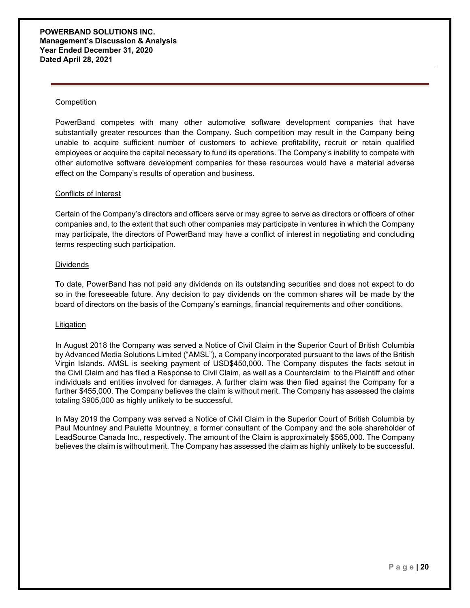#### **Competition**

PowerBand competes with many other automotive software development companies that have substantially greater resources than the Company. Such competition may result in the Company being unable to acquire sufficient number of customers to achieve profitability, recruit or retain qualified employees or acquire the capital necessary to fund its operations. The Company's inability to compete with other automotive software development companies for these resources would have a material adverse effect on the Company's results of operation and business.

#### Conflicts of Interest

Certain of the Company's directors and officers serve or may agree to serve as directors or officers of other companies and, to the extent that such other companies may participate in ventures in which the Company may participate, the directors of PowerBand may have a conflict of interest in negotiating and concluding terms respecting such participation.

#### **Dividends**

To date, PowerBand has not paid any dividends on its outstanding securities and does not expect to do so in the foreseeable future. Any decision to pay dividends on the common shares will be made by the board of directors on the basis of the Company's earnings, financial requirements and other conditions.

#### Litigation

In August 2018 the Company was served a Notice of Civil Claim in the Superior Court of British Columbia by Advanced Media Solutions Limited ("AMSL"), a Company incorporated pursuant to the laws of the British Virgin Islands. AMSL is seeking payment of USD\$450,000. The Company disputes the facts setout in the Civil Claim and has filed a Response to Civil Claim, as well as a Counterclaim to the Plaintiff and other individuals and entities involved for damages. A further claim was then filed against the Company for a further \$455,000. The Company believes the claim is without merit. The Company has assessed the claims totaling \$905,000 as highly unlikely to be successful.

In May 2019 the Company was served a Notice of Civil Claim in the Superior Court of British Columbia by Paul Mountney and Paulette Mountney, a former consultant of the Company and the sole shareholder of LeadSource Canada Inc., respectively. The amount of the Claim is approximately \$565,000. The Company believes the claim is without merit. The Company has assessed the claim as highly unlikely to be successful.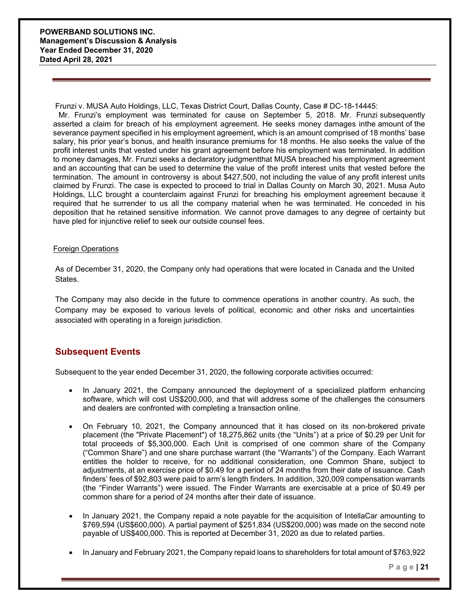Frunzi v. MUSA Auto Holdings, LLC, Texas District Court, Dallas County, Case # DC-18-14445:

Mr. Frunzi's employment was terminated for cause on September 5, 2018. Mr. Frunzi subsequently asserted a claim for breach of his employment agreement. He seeks money damages inthe amount of the severance payment specified in his employment agreement, which is an amount comprised of 18 months' base salary, his prior year's bonus, and health insurance premiums for 18 months. He also seeks the value of the profit interest units that vested under his grant agreement before his employment was terminated. In addition to money damages, Mr. Frunzi seeks a declaratory judgmentthat MUSA breached his employment agreement and an accounting that can be used to determine the value of the profit interest units that vested before the termination. The amount in controversy is about \$427,500, not including the value of any profit interest units claimed by Frunzi. The case is expected to proceed to trial in Dallas County on March 30, 2021. Musa Auto Holdings, LLC brought a counterclaim against Frunzi for breaching his employment agreement because it required that he surrender to us all the company material when he was terminated. He conceded in his deposition that he retained sensitive information. We cannot prove damages to any degree of certainty but have pled for injunctive relief to seek our outside counsel fees.

### Foreign Operations

As of December 31, 2020, the Company only had operations that were located in Canada and the United States.

The Company may also decide in the future to commence operations in another country. As such, the Company may be exposed to various levels of political, economic and other risks and uncertainties associated with operating in a foreign jurisdiction.

### **Subsequent Events**

Subsequent to the year ended December 31, 2020, the following corporate activities occurred:

- In January 2021, the Company announced the deployment of a specialized platform enhancing software, which will cost US\$200,000, and that will address some of the challenges the consumers and dealers are confronted with completing a transaction online.
- On February 10, 2021, the Company announced that it has closed on its non-brokered private placement (the "Private Placement") of 18,275,862 units (the "Units") at a price of \$0.29 per Unit for total proceeds of \$5,300,000. Each Unit is comprised of one common share of the Company ("Common Share") and one share purchase warrant (the "Warrants") of the Company. Each Warrant entitles the holder to receive, for no additional consideration, one Common Share, subject to adjustments, at an exercise price of \$0.49 for a period of 24 months from their date of issuance. Cash finders' fees of \$92,803 were paid to arm's length finders. In addition, 320,009 compensation warrants (the "Finder Warrants") were issued. The Finder Warrants are exercisable at a price of \$0.49 per common share for a period of 24 months after their date of issuance.
- In January 2021, the Company repaid a note payable for the acquisition of IntellaCar amounting to \$769,594 (US\$600,000). A partial payment of \$251,834 (US\$200,000) was made on the second note payable of US\$400,000. This is reported at December 31, 2020 as due to related parties.
- In January and February 2021, the Company repaid loans to shareholders for total amount of \$763,922